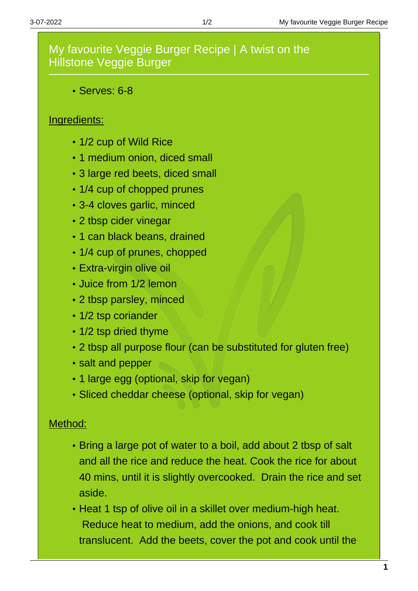## My favourite Veggie Burger Recipe | A twist on the Hillstone Veggie Burger

Serves: 6-8

## Ingredients:

- 1/2 cup of Wild Rice
- 1 medium onion, diced small
- 3 large red beets, diced small
- 1/4 cup of chopped prunes
- 3-4 cloves garlic, minced
- 2 tbsp cider vinegar
- 1 can black beans, drained
- 1/4 cup of prunes, chopped
- Extra-virgin olive oil
- Juice from 1/2 lemon
- 2 tbsp parsley, minced
- 1/2 tsp coriander
- 1/2 tsp dried thyme
- 2 tbsp all purpose flour (can be substituted for gluten free)
- salt and pepper
- 1 large egg (optional, skip for vegan)
- Sliced cheddar cheese (optional, skip for vegan)

## Method:

- Bring a large pot of water to a boil, add about 2 tbsp of salt and all the rice and reduce the heat. Cook the rice for about 40 mins, until it is slightly overcooked. Drain the rice and set aside.
- Heat 1 tsp of olive oil in a skillet over medium-high heat. Reduce heat to medium, add the onions, and cook till translucent. Add the beets, cover the pot and cook until the